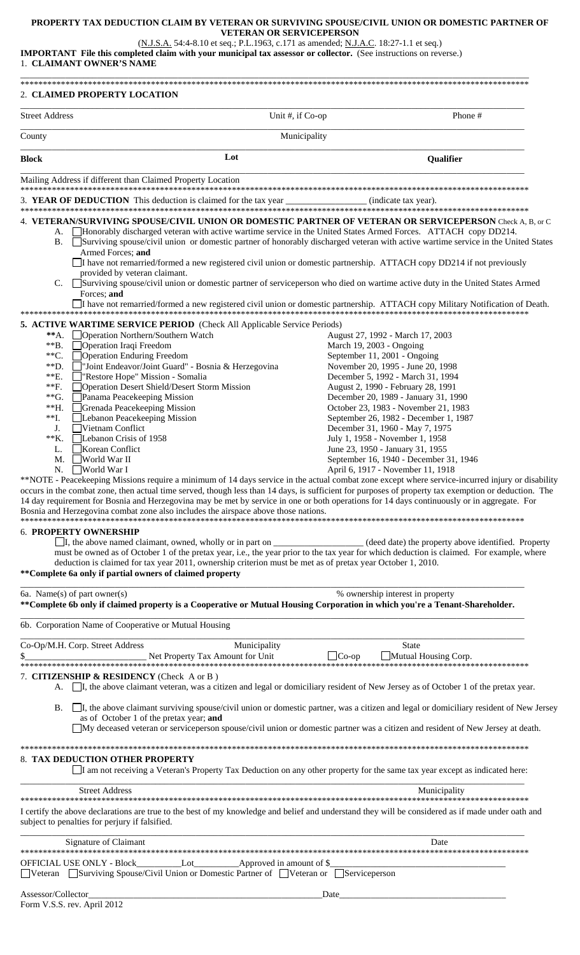## **PROPERTY TAX DEDUCTION CLAIM BY VETERAN OR SURVIVING SPOUSE/CIVIL UNION OR DOMESTIC PARTNER OF VETERAN OR SERVICEPERSON**

(N.J.S.A. 54:4-8.10 et seq.; P.L.1963, c.171 as amended; N.J.A.C. 18:27-1.1 et seq.)

**IMPORTANT File this completed claim with your municipal tax assessor or collector.** (See instructions on reverse.) 1. **CLAIMANT OWNER'S NAME**

| <b>Street Address</b> |                                                                                                                                                                                                                                                                                                                                                                                                | Unit #, if Co-op                                                                                                                                                                                                                                                 | Phone #                                |  |
|-----------------------|------------------------------------------------------------------------------------------------------------------------------------------------------------------------------------------------------------------------------------------------------------------------------------------------------------------------------------------------------------------------------------------------|------------------------------------------------------------------------------------------------------------------------------------------------------------------------------------------------------------------------------------------------------------------|----------------------------------------|--|
| County                |                                                                                                                                                                                                                                                                                                                                                                                                | Municipality                                                                                                                                                                                                                                                     |                                        |  |
| <b>Block</b>          | Lot                                                                                                                                                                                                                                                                                                                                                                                            |                                                                                                                                                                                                                                                                  | Qualifier                              |  |
|                       | Mailing Address if different than Claimed Property Location                                                                                                                                                                                                                                                                                                                                    |                                                                                                                                                                                                                                                                  |                                        |  |
|                       | 3. YEAR OF DEDUCTION This deduction is claimed for the tax year _                                                                                                                                                                                                                                                                                                                              |                                                                                                                                                                                                                                                                  | (indicate tax year).                   |  |
|                       |                                                                                                                                                                                                                                                                                                                                                                                                |                                                                                                                                                                                                                                                                  |                                        |  |
| А.<br>В.              | 4.  VETERAN/SURVIVING SPOUSE/CIVIL UNION OR DOMESTIC PARTNER OF VETERAN OR SERVICEPERSON Check A, B, or C<br><b>I</b> Honorably discharged veteran with active wartime service in the United States Armed Forces. ATTACH copy DD214.<br>Surviving spouse/civil union or domestic partner of honorably discharged veteran with active wartime service in the United States<br>Armed Forces; and |                                                                                                                                                                                                                                                                  |                                        |  |
|                       | I have not remarried/formed a new registered civil union or domestic partnership. ATTACH copy DD214 if not previously<br>provided by veteran claimant.                                                                                                                                                                                                                                         |                                                                                                                                                                                                                                                                  |                                        |  |
|                       | Forces; and                                                                                                                                                                                                                                                                                                                                                                                    | C. Surviving spouse/civil union or domestic partner of serviceperson who died on wartime active duty in the United States Armed<br>I have not remarried/formed a new registered civil union or domestic partnership. ATTACH copy Military Notification of Death. |                                        |  |
|                       |                                                                                                                                                                                                                                                                                                                                                                                                |                                                                                                                                                                                                                                                                  |                                        |  |
|                       | <b>5. ACTIVE WARTIME SERVICE PERIOD</b> (Check All Applicable Service Periods)                                                                                                                                                                                                                                                                                                                 |                                                                                                                                                                                                                                                                  |                                        |  |
| $**A$ .               | □ Operation Northern/Southern Watch                                                                                                                                                                                                                                                                                                                                                            | August 27, 1992 - March 17, 2003                                                                                                                                                                                                                                 |                                        |  |
| $*$ $B.$              | Operation Iraqi Freedom                                                                                                                                                                                                                                                                                                                                                                        | March 19, 2003 - Ongoing                                                                                                                                                                                                                                         |                                        |  |
| $*$ $C.$<br>$*$ $D.$  | Operation Enduring Freedom<br>"Joint Endeavor/Joint Guard" - Bosnia & Herzegovina                                                                                                                                                                                                                                                                                                              | September 11, 2001 - Ongoing<br>November 20, 1995 - June 20, 1998                                                                                                                                                                                                |                                        |  |
| $*E.$                 | "Restore Hope" Mission - Somalia                                                                                                                                                                                                                                                                                                                                                               | December 5, 1992 - March 31, 1994                                                                                                                                                                                                                                |                                        |  |
| $**F.$                | Operation Desert Shield/Desert Storm Mission                                                                                                                                                                                                                                                                                                                                                   | August 2, 1990 - February 28, 1991                                                                                                                                                                                                                               |                                        |  |
| $*G.$                 | Panama Peacekeeping Mission                                                                                                                                                                                                                                                                                                                                                                    |                                                                                                                                                                                                                                                                  | December 20, 1989 - January 31, 1990   |  |
| $**H.$                | Grenada Peacekeeping Mission                                                                                                                                                                                                                                                                                                                                                                   |                                                                                                                                                                                                                                                                  | October 23, 1983 - November 21, 1983   |  |
| $**I.$                | Lebanon Peacekeeping Mission                                                                                                                                                                                                                                                                                                                                                                   |                                                                                                                                                                                                                                                                  | September 26, 1982 - December 1, 1987  |  |
| J.                    | Vietnam Conflict                                                                                                                                                                                                                                                                                                                                                                               | December 31, 1960 - May 7, 1975                                                                                                                                                                                                                                  |                                        |  |
| $*K$ .                | Lebanon Crisis of 1958                                                                                                                                                                                                                                                                                                                                                                         | July 1, 1958 - November 1, 1958                                                                                                                                                                                                                                  |                                        |  |
| L.                    | Korean Conflict<br>World War II                                                                                                                                                                                                                                                                                                                                                                | June 23, 1950 - January 31, 1955                                                                                                                                                                                                                                 |                                        |  |
| М.<br>N.              | World War I                                                                                                                                                                                                                                                                                                                                                                                    | April 6, 1917 - November 11, 1918                                                                                                                                                                                                                                | September 16, 1940 - December 31, 1946 |  |
|                       | **NOTE - Peacekeeping Missions require a minimum of 14 days service in the actual combat zone except where service-incurred injury or disability                                                                                                                                                                                                                                               |                                                                                                                                                                                                                                                                  |                                        |  |
|                       | occurs in the combat zone, then actual time served, though less than 14 days, is sufficient for purposes of property tax exemption or deduction. The                                                                                                                                                                                                                                           |                                                                                                                                                                                                                                                                  |                                        |  |
|                       | 14 day requirement for Bosnia and Herzegovina may be met by service in one or both operations for 14 days continuously or in aggregate. For                                                                                                                                                                                                                                                    |                                                                                                                                                                                                                                                                  |                                        |  |
|                       | Bosnia and Herzegovina combat zone also includes the airspace above those nations.                                                                                                                                                                                                                                                                                                             |                                                                                                                                                                                                                                                                  |                                        |  |
|                       |                                                                                                                                                                                                                                                                                                                                                                                                |                                                                                                                                                                                                                                                                  |                                        |  |
|                       | <b>6. PROPERTY OWNERSHIP</b>                                                                                                                                                                                                                                                                                                                                                                   |                                                                                                                                                                                                                                                                  |                                        |  |
|                       | I, the above named claimant, owned, wholly or in part on _______________(deed date) the property above identified. Property                                                                                                                                                                                                                                                                    |                                                                                                                                                                                                                                                                  |                                        |  |
|                       | must be owned as of October 1 of the pretax year, i.e., the year prior to the tax year for which deduction is claimed. For example, where                                                                                                                                                                                                                                                      |                                                                                                                                                                                                                                                                  |                                        |  |
|                       | deduction is claimed for tax year 2011, ownership criterion must be met as of pretax year October 1, 2010.<br>** Complete 6a only if partial owners of claimed property                                                                                                                                                                                                                        |                                                                                                                                                                                                                                                                  |                                        |  |
|                       |                                                                                                                                                                                                                                                                                                                                                                                                |                                                                                                                                                                                                                                                                  |                                        |  |
|                       | 6a. Name(s) of part owner(s)                                                                                                                                                                                                                                                                                                                                                                   |                                                                                                                                                                                                                                                                  | % ownership interest in property       |  |
|                       | ** Complete 6b only if claimed property is a Cooperative or Mutual Housing Corporation in which you're a Tenant-Shareholder.                                                                                                                                                                                                                                                                   |                                                                                                                                                                                                                                                                  |                                        |  |
|                       | 6b. Corporation Name of Cooperative or Mutual Housing                                                                                                                                                                                                                                                                                                                                          |                                                                                                                                                                                                                                                                  |                                        |  |
|                       | Municipality<br>Co-Op/M.H. Corp. Street Address                                                                                                                                                                                                                                                                                                                                                |                                                                                                                                                                                                                                                                  | <b>State</b>                           |  |
|                       | Net Property Tax Amount for Unit                                                                                                                                                                                                                                                                                                                                                               | $\Box$ Co-op                                                                                                                                                                                                                                                     | Mutual Housing Corp.                   |  |
|                       |                                                                                                                                                                                                                                                                                                                                                                                                |                                                                                                                                                                                                                                                                  |                                        |  |
|                       | 7. CITIZENSHIP & RESIDENCY (Check A or B)<br>A. I, the above claimant veteran, was a citizen and legal or domiciliary resident of New Jersey as of October 1 of the pretax year.                                                                                                                                                                                                               |                                                                                                                                                                                                                                                                  |                                        |  |
|                       |                                                                                                                                                                                                                                                                                                                                                                                                |                                                                                                                                                                                                                                                                  |                                        |  |
| В.                    | I, the above claimant surviving spouse/civil union or domestic partner, was a citizen and legal or domiciliary resident of New Jersey                                                                                                                                                                                                                                                          |                                                                                                                                                                                                                                                                  |                                        |  |
|                       | as of October 1 of the pretax year; and                                                                                                                                                                                                                                                                                                                                                        |                                                                                                                                                                                                                                                                  |                                        |  |
|                       | My deceased veteran or serviceperson spouse/civil union or domestic partner was a citizen and resident of New Jersey at death.                                                                                                                                                                                                                                                                 |                                                                                                                                                                                                                                                                  |                                        |  |
|                       |                                                                                                                                                                                                                                                                                                                                                                                                |                                                                                                                                                                                                                                                                  |                                        |  |
|                       | 8. TAX DEDUCTION OTHER PROPERTY                                                                                                                                                                                                                                                                                                                                                                |                                                                                                                                                                                                                                                                  |                                        |  |
|                       | I am not receiving a Veteran's Property Tax Deduction on any other property for the same tax year except as indicated here:                                                                                                                                                                                                                                                                    |                                                                                                                                                                                                                                                                  |                                        |  |
|                       | <b>Street Address</b>                                                                                                                                                                                                                                                                                                                                                                          |                                                                                                                                                                                                                                                                  | Municipality                           |  |
|                       |                                                                                                                                                                                                                                                                                                                                                                                                |                                                                                                                                                                                                                                                                  |                                        |  |
|                       | I certify the above declarations are true to the best of my knowledge and belief and understand they will be considered as if made under oath and<br>subject to penalties for perjury if falsified.                                                                                                                                                                                            |                                                                                                                                                                                                                                                                  |                                        |  |
|                       |                                                                                                                                                                                                                                                                                                                                                                                                |                                                                                                                                                                                                                                                                  |                                        |  |
|                       |                                                                                                                                                                                                                                                                                                                                                                                                |                                                                                                                                                                                                                                                                  |                                        |  |
|                       |                                                                                                                                                                                                                                                                                                                                                                                                |                                                                                                                                                                                                                                                                  |                                        |  |
|                       | OFFICIAL USE ONLY - Block__________Lot___________Approved in amount of \$_                                                                                                                                                                                                                                                                                                                     |                                                                                                                                                                                                                                                                  |                                        |  |
|                       | □Veteran □Surviving Spouse/Civil Union or Domestic Partner of □Veteran or □Serviceperson                                                                                                                                                                                                                                                                                                       |                                                                                                                                                                                                                                                                  |                                        |  |
|                       |                                                                                                                                                                                                                                                                                                                                                                                                |                                                                                                                                                                                                                                                                  |                                        |  |
| Assessor/Collector    |                                                                                                                                                                                                                                                                                                                                                                                                | Date                                                                                                                                                                                                                                                             |                                        |  |